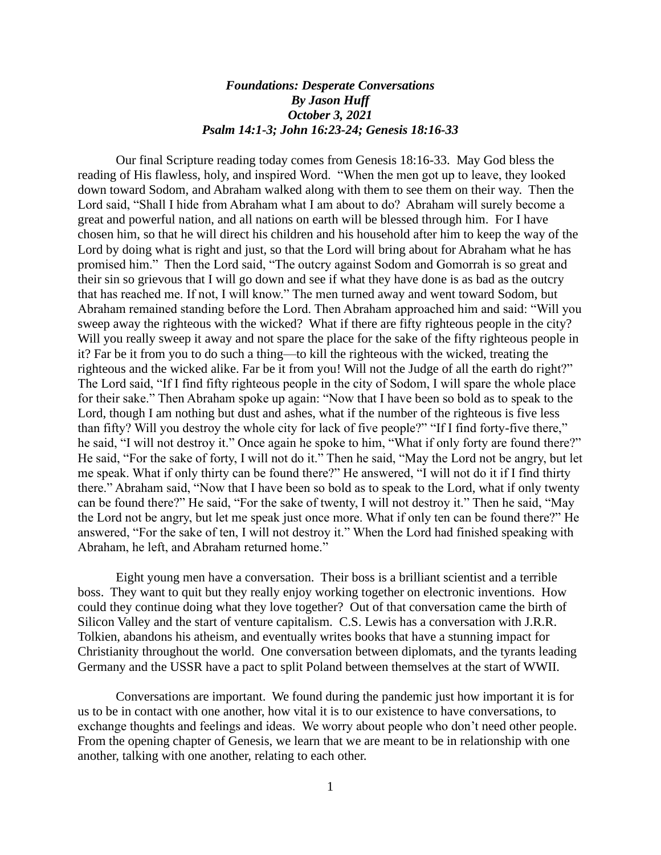## *Foundations: Desperate Conversations By Jason Huff October 3, 2021 Psalm 14:1-3; John 16:23-24; Genesis 18:16-33*

Our final Scripture reading today comes from Genesis 18:16-33. May God bless the reading of His flawless, holy, and inspired Word. "When the men got up to leave, they looked down toward Sodom, and Abraham walked along with them to see them on their way. Then the Lord said, "Shall I hide from Abraham what I am about to do? Abraham will surely become a great and powerful nation, and all nations on earth will be blessed through him. For I have chosen him, so that he will direct his children and his household after him to keep the way of the Lord by doing what is right and just, so that the Lord will bring about for Abraham what he has promised him." Then the Lord said, "The outcry against Sodom and Gomorrah is so great and their sin so grievous that I will go down and see if what they have done is as bad as the outcry that has reached me. If not, I will know." The men turned away and went toward Sodom, but Abraham remained standing before the Lord. Then Abraham approached him and said: "Will you sweep away the righteous with the wicked? What if there are fifty righteous people in the city? Will you really sweep it away and not spare the place for the sake of the fifty righteous people in it? Far be it from you to do such a thing—to kill the righteous with the wicked, treating the righteous and the wicked alike. Far be it from you! Will not the Judge of all the earth do right?" The Lord said, "If I find fifty righteous people in the city of Sodom, I will spare the whole place for their sake." Then Abraham spoke up again: "Now that I have been so bold as to speak to the Lord, though I am nothing but dust and ashes, what if the number of the righteous is five less than fifty? Will you destroy the whole city for lack of five people?" "If I find forty-five there," he said, "I will not destroy it." Once again he spoke to him, "What if only forty are found there?" He said, "For the sake of forty, I will not do it." Then he said, "May the Lord not be angry, but let me speak. What if only thirty can be found there?" He answered, "I will not do it if I find thirty there." Abraham said, "Now that I have been so bold as to speak to the Lord, what if only twenty can be found there?" He said, "For the sake of twenty, I will not destroy it." Then he said, "May the Lord not be angry, but let me speak just once more. What if only ten can be found there?" He answered, "For the sake of ten, I will not destroy it." When the Lord had finished speaking with Abraham, he left, and Abraham returned home."

Eight young men have a conversation. Their boss is a brilliant scientist and a terrible boss. They want to quit but they really enjoy working together on electronic inventions. How could they continue doing what they love together? Out of that conversation came the birth of Silicon Valley and the start of venture capitalism. C.S. Lewis has a conversation with J.R.R. Tolkien, abandons his atheism, and eventually writes books that have a stunning impact for Christianity throughout the world. One conversation between diplomats, and the tyrants leading Germany and the USSR have a pact to split Poland between themselves at the start of WWII.

Conversations are important. We found during the pandemic just how important it is for us to be in contact with one another, how vital it is to our existence to have conversations, to exchange thoughts and feelings and ideas. We worry about people who don't need other people. From the opening chapter of Genesis, we learn that we are meant to be in relationship with one another, talking with one another, relating to each other.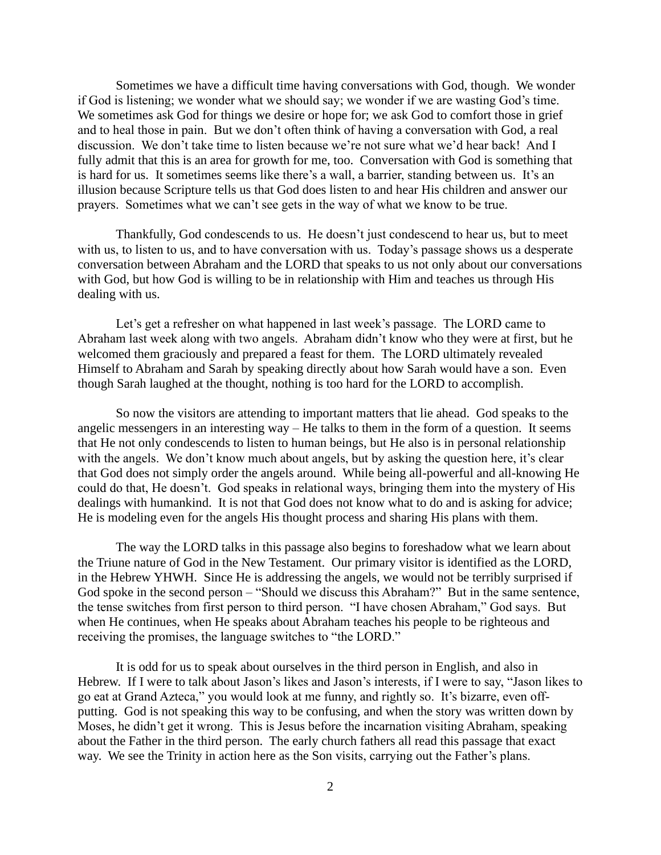Sometimes we have a difficult time having conversations with God, though. We wonder if God is listening; we wonder what we should say; we wonder if we are wasting God's time. We sometimes ask God for things we desire or hope for; we ask God to comfort those in grief and to heal those in pain. But we don't often think of having a conversation with God, a real discussion. We don't take time to listen because we're not sure what we'd hear back! And I fully admit that this is an area for growth for me, too. Conversation with God is something that is hard for us. It sometimes seems like there's a wall, a barrier, standing between us. It's an illusion because Scripture tells us that God does listen to and hear His children and answer our prayers. Sometimes what we can't see gets in the way of what we know to be true.

Thankfully, God condescends to us. He doesn't just condescend to hear us, but to meet with us, to listen to us, and to have conversation with us. Today's passage shows us a desperate conversation between Abraham and the LORD that speaks to us not only about our conversations with God, but how God is willing to be in relationship with Him and teaches us through His dealing with us.

Let's get a refresher on what happened in last week's passage. The LORD came to Abraham last week along with two angels. Abraham didn't know who they were at first, but he welcomed them graciously and prepared a feast for them. The LORD ultimately revealed Himself to Abraham and Sarah by speaking directly about how Sarah would have a son. Even though Sarah laughed at the thought, nothing is too hard for the LORD to accomplish.

So now the visitors are attending to important matters that lie ahead. God speaks to the angelic messengers in an interesting way – He talks to them in the form of a question. It seems that He not only condescends to listen to human beings, but He also is in personal relationship with the angels. We don't know much about angels, but by asking the question here, it's clear that God does not simply order the angels around. While being all-powerful and all-knowing He could do that, He doesn't. God speaks in relational ways, bringing them into the mystery of His dealings with humankind. It is not that God does not know what to do and is asking for advice; He is modeling even for the angels His thought process and sharing His plans with them.

The way the LORD talks in this passage also begins to foreshadow what we learn about the Triune nature of God in the New Testament. Our primary visitor is identified as the LORD, in the Hebrew YHWH. Since He is addressing the angels, we would not be terribly surprised if God spoke in the second person – "Should we discuss this Abraham?" But in the same sentence, the tense switches from first person to third person. "I have chosen Abraham," God says. But when He continues, when He speaks about Abraham teaches his people to be righteous and receiving the promises, the language switches to "the LORD."

It is odd for us to speak about ourselves in the third person in English, and also in Hebrew. If I were to talk about Jason's likes and Jason's interests, if I were to say, "Jason likes to go eat at Grand Azteca," you would look at me funny, and rightly so. It's bizarre, even offputting. God is not speaking this way to be confusing, and when the story was written down by Moses, he didn't get it wrong. This is Jesus before the incarnation visiting Abraham, speaking about the Father in the third person. The early church fathers all read this passage that exact way. We see the Trinity in action here as the Son visits, carrying out the Father's plans.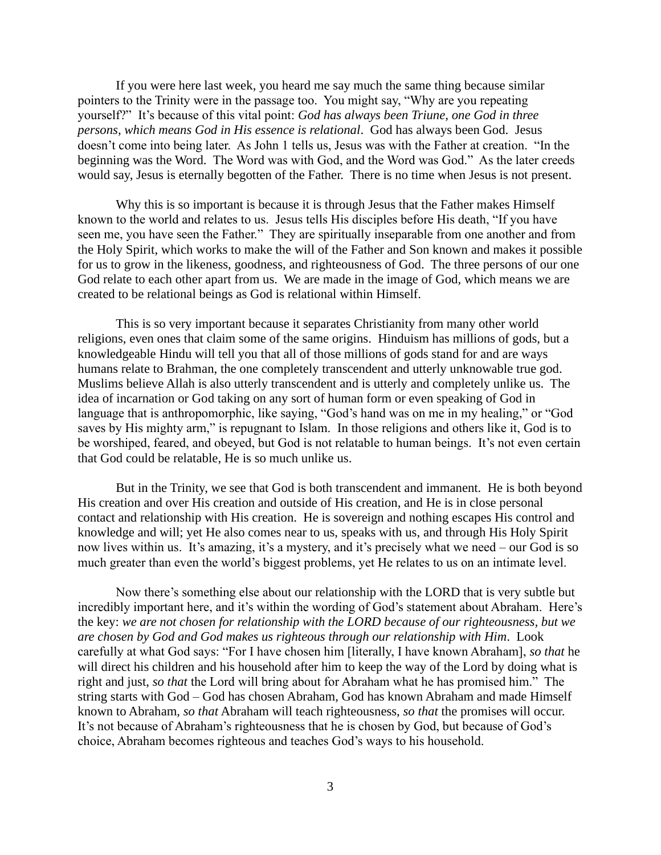If you were here last week, you heard me say much the same thing because similar pointers to the Trinity were in the passage too. You might say, "Why are you repeating yourself?" It's because of this vital point: *God has always been Triune, one God in three persons, which means God in His essence is relational*. God has always been God. Jesus doesn't come into being later. As John 1 tells us, Jesus was with the Father at creation. "In the beginning was the Word. The Word was with God, and the Word was God." As the later creeds would say, Jesus is eternally begotten of the Father. There is no time when Jesus is not present.

Why this is so important is because it is through Jesus that the Father makes Himself known to the world and relates to us. Jesus tells His disciples before His death, "If you have seen me, you have seen the Father." They are spiritually inseparable from one another and from the Holy Spirit, which works to make the will of the Father and Son known and makes it possible for us to grow in the likeness, goodness, and righteousness of God. The three persons of our one God relate to each other apart from us. We are made in the image of God, which means we are created to be relational beings as God is relational within Himself.

This is so very important because it separates Christianity from many other world religions, even ones that claim some of the same origins. Hinduism has millions of gods, but a knowledgeable Hindu will tell you that all of those millions of gods stand for and are ways humans relate to Brahman, the one completely transcendent and utterly unknowable true god. Muslims believe Allah is also utterly transcendent and is utterly and completely unlike us. The idea of incarnation or God taking on any sort of human form or even speaking of God in language that is anthropomorphic, like saying, "God's hand was on me in my healing," or "God saves by His mighty arm," is repugnant to Islam. In those religions and others like it, God is to be worshiped, feared, and obeyed, but God is not relatable to human beings. It's not even certain that God could be relatable, He is so much unlike us.

But in the Trinity, we see that God is both transcendent and immanent. He is both beyond His creation and over His creation and outside of His creation, and He is in close personal contact and relationship with His creation. He is sovereign and nothing escapes His control and knowledge and will; yet He also comes near to us, speaks with us, and through His Holy Spirit now lives within us. It's amazing, it's a mystery, and it's precisely what we need – our God is so much greater than even the world's biggest problems, yet He relates to us on an intimate level.

Now there's something else about our relationship with the LORD that is very subtle but incredibly important here, and it's within the wording of God's statement about Abraham. Here's the key: *we are not chosen for relationship with the LORD because of our righteousness, but we are chosen by God and God makes us righteous through our relationship with Him*. Look carefully at what God says: "For I have chosen him [literally, I have known Abraham], *so that* he will direct his children and his household after him to keep the way of the Lord by doing what is right and just, *so that* the Lord will bring about for Abraham what he has promised him." The string starts with God – God has chosen Abraham, God has known Abraham and made Himself known to Abraham, *so that* Abraham will teach righteousness, *so that* the promises will occur. It's not because of Abraham's righteousness that he is chosen by God, but because of God's choice, Abraham becomes righteous and teaches God's ways to his household.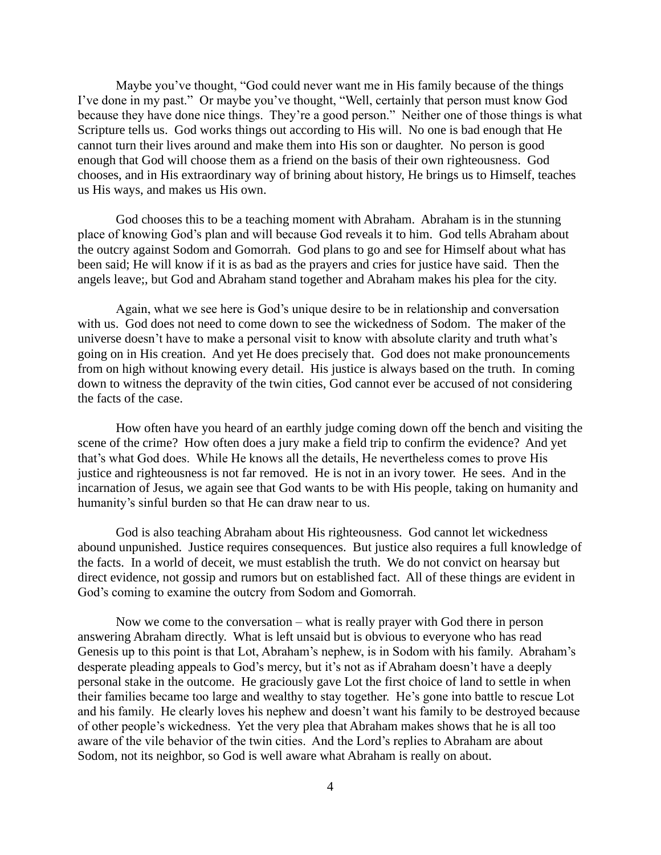Maybe you've thought, "God could never want me in His family because of the things I've done in my past." Or maybe you've thought, "Well, certainly that person must know God because they have done nice things. They're a good person." Neither one of those things is what Scripture tells us. God works things out according to His will. No one is bad enough that He cannot turn their lives around and make them into His son or daughter. No person is good enough that God will choose them as a friend on the basis of their own righteousness. God chooses, and in His extraordinary way of brining about history, He brings us to Himself, teaches us His ways, and makes us His own.

God chooses this to be a teaching moment with Abraham. Abraham is in the stunning place of knowing God's plan and will because God reveals it to him. God tells Abraham about the outcry against Sodom and Gomorrah. God plans to go and see for Himself about what has been said; He will know if it is as bad as the prayers and cries for justice have said. Then the angels leave;, but God and Abraham stand together and Abraham makes his plea for the city.

Again, what we see here is God's unique desire to be in relationship and conversation with us. God does not need to come down to see the wickedness of Sodom. The maker of the universe doesn't have to make a personal visit to know with absolute clarity and truth what's going on in His creation. And yet He does precisely that. God does not make pronouncements from on high without knowing every detail. His justice is always based on the truth. In coming down to witness the depravity of the twin cities, God cannot ever be accused of not considering the facts of the case.

How often have you heard of an earthly judge coming down off the bench and visiting the scene of the crime? How often does a jury make a field trip to confirm the evidence? And yet that's what God does. While He knows all the details, He nevertheless comes to prove His justice and righteousness is not far removed. He is not in an ivory tower. He sees. And in the incarnation of Jesus, we again see that God wants to be with His people, taking on humanity and humanity's sinful burden so that He can draw near to us.

God is also teaching Abraham about His righteousness. God cannot let wickedness abound unpunished. Justice requires consequences. But justice also requires a full knowledge of the facts. In a world of deceit, we must establish the truth. We do not convict on hearsay but direct evidence, not gossip and rumors but on established fact. All of these things are evident in God's coming to examine the outcry from Sodom and Gomorrah.

Now we come to the conversation – what is really prayer with God there in person answering Abraham directly. What is left unsaid but is obvious to everyone who has read Genesis up to this point is that Lot, Abraham's nephew, is in Sodom with his family. Abraham's desperate pleading appeals to God's mercy, but it's not as if Abraham doesn't have a deeply personal stake in the outcome. He graciously gave Lot the first choice of land to settle in when their families became too large and wealthy to stay together. He's gone into battle to rescue Lot and his family. He clearly loves his nephew and doesn't want his family to be destroyed because of other people's wickedness. Yet the very plea that Abraham makes shows that he is all too aware of the vile behavior of the twin cities. And the Lord's replies to Abraham are about Sodom, not its neighbor, so God is well aware what Abraham is really on about.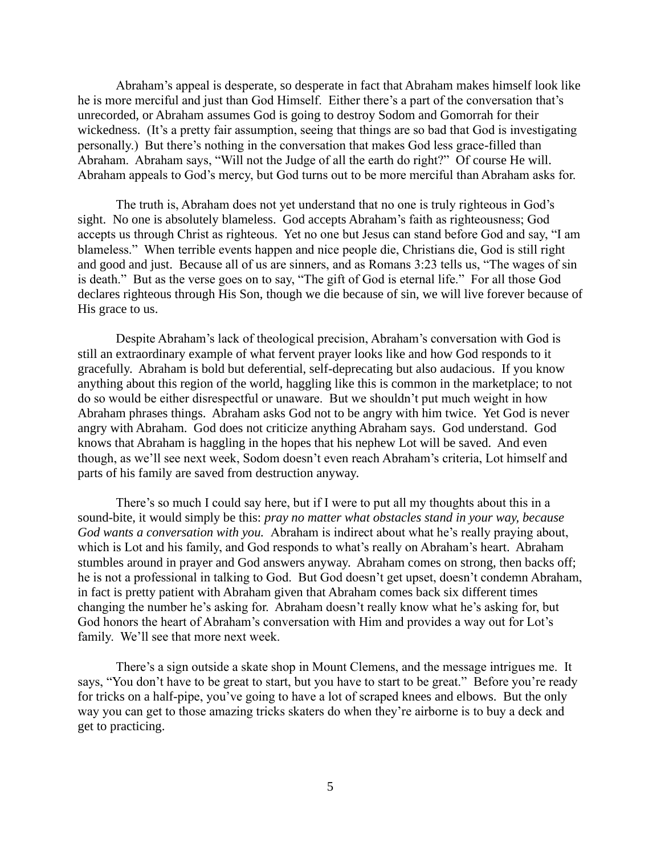Abraham's appeal is desperate, so desperate in fact that Abraham makes himself look like he is more merciful and just than God Himself. Either there's a part of the conversation that's unrecorded, or Abraham assumes God is going to destroy Sodom and Gomorrah for their wickedness. (It's a pretty fair assumption, seeing that things are so bad that God is investigating personally.) But there's nothing in the conversation that makes God less grace-filled than Abraham. Abraham says, "Will not the Judge of all the earth do right?" Of course He will. Abraham appeals to God's mercy, but God turns out to be more merciful than Abraham asks for.

The truth is, Abraham does not yet understand that no one is truly righteous in God's sight. No one is absolutely blameless. God accepts Abraham's faith as righteousness; God accepts us through Christ as righteous. Yet no one but Jesus can stand before God and say, "I am blameless." When terrible events happen and nice people die, Christians die, God is still right and good and just. Because all of us are sinners, and as Romans 3:23 tells us, "The wages of sin is death." But as the verse goes on to say, "The gift of God is eternal life." For all those God declares righteous through His Son, though we die because of sin, we will live forever because of His grace to us.

Despite Abraham's lack of theological precision, Abraham's conversation with God is still an extraordinary example of what fervent prayer looks like and how God responds to it gracefully. Abraham is bold but deferential, self-deprecating but also audacious. If you know anything about this region of the world, haggling like this is common in the marketplace; to not do so would be either disrespectful or unaware. But we shouldn't put much weight in how Abraham phrases things. Abraham asks God not to be angry with him twice. Yet God is never angry with Abraham. God does not criticize anything Abraham says. God understand. God knows that Abraham is haggling in the hopes that his nephew Lot will be saved. And even though, as we'll see next week, Sodom doesn't even reach Abraham's criteria, Lot himself and parts of his family are saved from destruction anyway.

There's so much I could say here, but if I were to put all my thoughts about this in a sound-bite, it would simply be this: *pray no matter what obstacles stand in your way, because God wants a conversation with you.* Abraham is indirect about what he's really praying about, which is Lot and his family, and God responds to what's really on Abraham's heart. Abraham stumbles around in prayer and God answers anyway. Abraham comes on strong, then backs off; he is not a professional in talking to God. But God doesn't get upset, doesn't condemn Abraham, in fact is pretty patient with Abraham given that Abraham comes back six different times changing the number he's asking for. Abraham doesn't really know what he's asking for, but God honors the heart of Abraham's conversation with Him and provides a way out for Lot's family. We'll see that more next week.

There's a sign outside a skate shop in Mount Clemens, and the message intrigues me. It says, "You don't have to be great to start, but you have to start to be great." Before you're ready for tricks on a half-pipe, you've going to have a lot of scraped knees and elbows. But the only way you can get to those amazing tricks skaters do when they're airborne is to buy a deck and get to practicing.